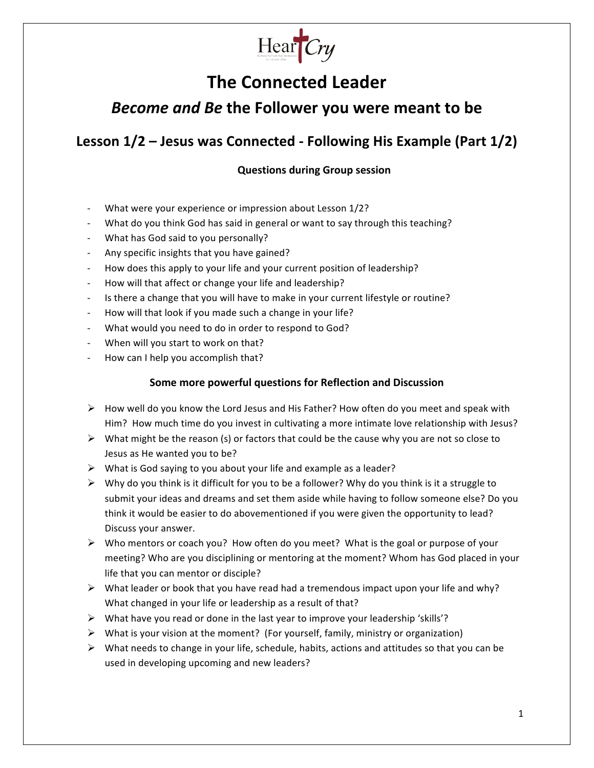

# **The Connected Leader**

## **Become and Be the Follower you were meant to be**

## **Lesson 1/2 – Jesus was Connected - Following His Example (Part 1/2)**

## **Questions during Group session**

- What were your experience or impression about Lesson 1/2?
- What do you think God has said in general or want to say through this teaching?
- What has God said to you personally?
- Any specific insights that you have gained?
- How does this apply to your life and your current position of leadership?
- How will that affect or change your life and leadership?
- Is there a change that you will have to make in your current lifestyle or routine?
- How will that look if you made such a change in your life?
- What would you need to do in order to respond to God?
- When will you start to work on that?
- How can I help you accomplish that?

### **Some more powerful questions for Reflection and Discussion**

- $\triangleright$  How well do you know the Lord Jesus and His Father? How often do you meet and speak with Him? How much time do you invest in cultivating a more intimate love relationship with Jesus?
- $\triangleright$  What might be the reason (s) or factors that could be the cause why you are not so close to Jesus as He wanted you to be?
- $\triangleright$  What is God saying to you about your life and example as a leader?
- $\triangleright$  Why do you think is it difficult for you to be a follower? Why do you think is it a struggle to submit your ideas and dreams and set them aside while having to follow someone else? Do you think it would be easier to do abovementioned if you were given the opportunity to lead? Discuss your answer.
- $\triangleright$  Who mentors or coach you? How often do you meet? What is the goal or purpose of your meeting? Who are you disciplining or mentoring at the moment? Whom has God placed in your life that you can mentor or disciple?
- $\triangleright$  What leader or book that you have read had a tremendous impact upon your life and why? What changed in your life or leadership as a result of that?
- $\triangleright$  What have you read or done in the last year to improve your leadership 'skills'?
- $\triangleright$  What is your vision at the moment? (For yourself, family, ministry or organization)
- $\triangleright$  What needs to change in your life, schedule, habits, actions and attitudes so that you can be used in developing upcoming and new leaders?